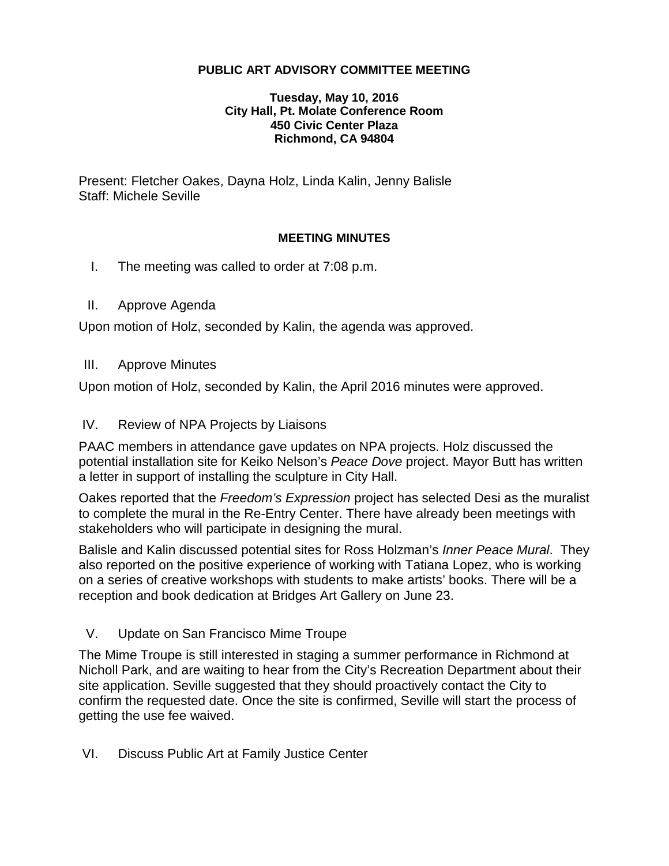## **PUBLIC ART ADVISORY COMMITTEE MEETING**

#### **Tuesday, May 10, 2016 City Hall, Pt. Molate Conference Room 450 Civic Center Plaza Richmond, CA 94804**

Present: Fletcher Oakes, Dayna Holz, Linda Kalin, Jenny Balisle Staff: Michele Seville

#### **MEETING MINUTES**

- I. The meeting was called to order at 7:08 p.m.
- II. Approve Agenda

Upon motion of Holz, seconded by Kalin, the agenda was approved.

III. Approve Minutes

Upon motion of Holz, seconded by Kalin, the April 2016 minutes were approved.

#### IV. Review of NPA Projects by Liaisons

PAAC members in attendance gave updates on NPA projects. Holz discussed the potential installation site for Keiko Nelson's *Peace Dove* project. Mayor Butt has written a letter in support of installing the sculpture in City Hall.

Oakes reported that the *Freedom's Expression* project has selected Desi as the muralist to complete the mural in the Re-Entry Center. There have already been meetings with stakeholders who will participate in designing the mural.

Balisle and Kalin discussed potential sites for Ross Holzman's *Inner Peace Mural*. They also reported on the positive experience of working with Tatiana Lopez, who is working on a series of creative workshops with students to make artists' books. There will be a reception and book dedication at Bridges Art Gallery on June 23.

## V. Update on San Francisco Mime Troupe

The Mime Troupe is still interested in staging a summer performance in Richmond at Nicholl Park, and are waiting to hear from the City's Recreation Department about their site application. Seville suggested that they should proactively contact the City to confirm the requested date. Once the site is confirmed, Seville will start the process of getting the use fee waived.

VI. Discuss Public Art at Family Justice Center